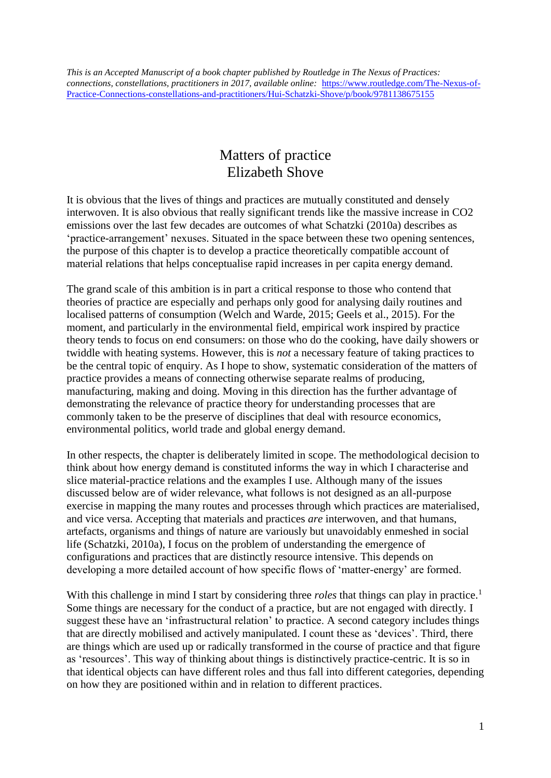# Matters of practice Elizabeth Shove

It is obvious that the lives of things and practices are mutually constituted and densely interwoven. It is also obvious that really significant trends like the massive increase in CO2 emissions over the last few decades are outcomes of what Schatzki (2010a) describes as 'practice-arrangement' nexuses. Situated in the space between these two opening sentences, the purpose of this chapter is to develop a practice theoretically compatible account of material relations that helps conceptualise rapid increases in per capita energy demand.

The grand scale of this ambition is in part a critical response to those who contend that theories of practice are especially and perhaps only good for analysing daily routines and localised patterns of consumption (Welch and Warde, 2015; Geels et al., 2015). For the moment, and particularly in the environmental field, empirical work inspired by practice theory tends to focus on end consumers: on those who do the cooking, have daily showers or twiddle with heating systems. However, this is *not* a necessary feature of taking practices to be the central topic of enquiry. As I hope to show, systematic consideration of the matters of practice provides a means of connecting otherwise separate realms of producing, manufacturing, making and doing. Moving in this direction has the further advantage of demonstrating the relevance of practice theory for understanding processes that are commonly taken to be the preserve of disciplines that deal with resource economics, environmental politics, world trade and global energy demand.

In other respects, the chapter is deliberately limited in scope. The methodological decision to think about how energy demand is constituted informs the way in which I characterise and slice material-practice relations and the examples I use. Although many of the issues discussed below are of wider relevance, what follows is not designed as an all-purpose exercise in mapping the many routes and processes through which practices are materialised, and vice versa. Accepting that materials and practices *are* interwoven, and that humans, artefacts, organisms and things of nature are variously but unavoidably enmeshed in social life (Schatzki, 2010a), I focus on the problem of understanding the emergence of configurations and practices that are distinctly resource intensive. This depends on developing a more detailed account of how specific flows of 'matter-energy' are formed.

With this challenge in mind I start by considering three *roles* that things can play in practice.<sup>1</sup> Some things are necessary for the conduct of a practice, but are not engaged with directly. I suggest these have an 'infrastructural relation' to practice. A second category includes things that are directly mobilised and actively manipulated. I count these as 'devices'. Third, there are things which are used up or radically transformed in the course of practice and that figure as 'resources'. This way of thinking about things is distinctively practice-centric. It is so in that identical objects can have different roles and thus fall into different categories, depending on how they are positioned within and in relation to different practices.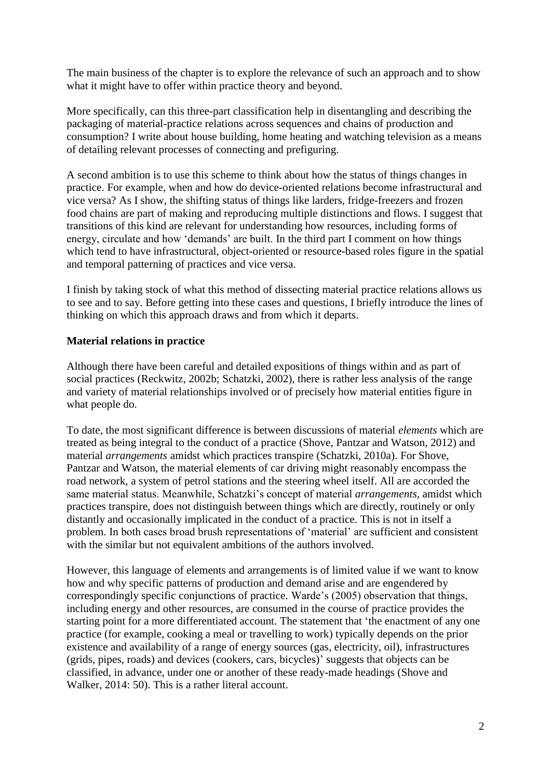The main business of the chapter is to explore the relevance of such an approach and to show what it might have to offer within practice theory and beyond.

More specifically, can this three-part classification help in disentangling and describing the packaging of material-practice relations across sequences and chains of production and consumption? I write about house building, home heating and watching television as a means of detailing relevant processes of connecting and prefiguring.

A second ambition is to use this scheme to think about how the status of things changes in practice. For example, when and how do device-oriented relations become infrastructural and vice versa? As I show, the shifting status of things like larders, fridge-freezers and frozen food chains are part of making and reproducing multiple distinctions and flows. I suggest that transitions of this kind are relevant for understanding how resources, including forms of energy, circulate and how 'demands' are built. In the third part I comment on how things which tend to have infrastructural, object-oriented or resource-based roles figure in the spatial and temporal patterning of practices and vice versa.

I finish by taking stock of what this method of dissecting material practice relations allows us to see and to say. Before getting into these cases and questions, I briefly introduce the lines of thinking on which this approach draws and from which it departs.

## **Material relations in practice**

Although there have been careful and detailed expositions of things within and as part of social practices (Reckwitz, 2002b; Schatzki, 2002), there is rather less analysis of the range and variety of material relationships involved or of precisely how material entities figure in what people do.

To date, the most significant difference is between discussions of material *elements* which are treated as being integral to the conduct of a practice (Shove, Pantzar and Watson, 2012) and material *arrangements* amidst which practices transpire (Schatzki, 2010a). For Shove, Pantzar and Watson, the material elements of car driving might reasonably encompass the road network, a system of petrol stations and the steering wheel itself. All are accorded the same material status. Meanwhile, Schatzki's concept of material *arrangements*, amidst which practices transpire, does not distinguish between things which are directly, routinely or only distantly and occasionally implicated in the conduct of a practice. This is not in itself a problem. In both cases broad brush representations of 'material' are sufficient and consistent with the similar but not equivalent ambitions of the authors involved.

However, this language of elements and arrangements is of limited value if we want to know how and why specific patterns of production and demand arise and are engendered by correspondingly specific conjunctions of practice. Warde's (2005) observation that things, including energy and other resources, are consumed in the course of practice provides the starting point for a more differentiated account. The statement that 'the enactment of any one practice (for example, cooking a meal or travelling to work) typically depends on the prior existence and availability of a range of energy sources (gas, electricity, oil), infrastructures (grids, pipes, roads) and devices (cookers, cars, bicycles)' suggests that objects can be classified, in advance, under one or another of these ready-made headings (Shove and Walker, 2014: 50). This is a rather literal account.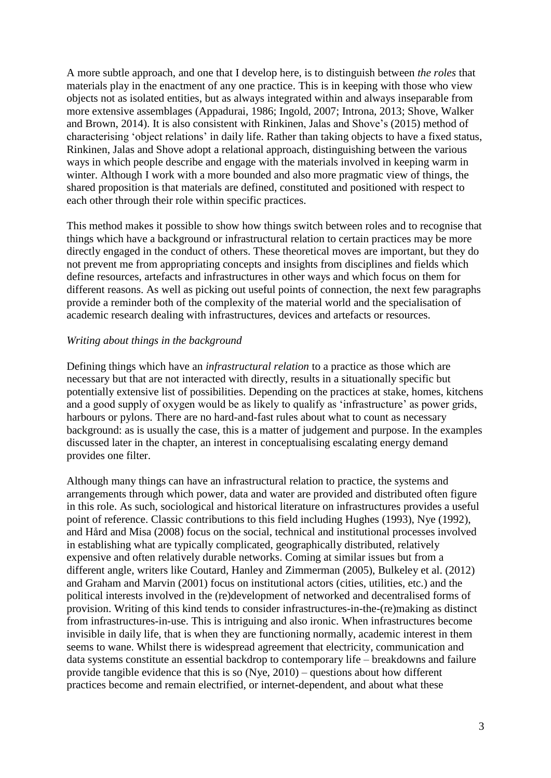A more subtle approach, and one that I develop here, is to distinguish between *the roles* that materials play in the enactment of any one practice. This is in keeping with those who view objects not as isolated entities, but as always integrated within and always inseparable from more extensive assemblages (Appadurai, 1986; Ingold, 2007; Introna, 2013; Shove, Walker and Brown, 2014). It is also consistent with Rinkinen, Jalas and Shove's (2015) method of characterising 'object relations' in daily life. Rather than taking objects to have a fixed status, Rinkinen, Jalas and Shove adopt a relational approach, distinguishing between the various ways in which people describe and engage with the materials involved in keeping warm in winter. Although I work with a more bounded and also more pragmatic view of things, the shared proposition is that materials are defined, constituted and positioned with respect to each other through their role within specific practices.

This method makes it possible to show how things switch between roles and to recognise that things which have a background or infrastructural relation to certain practices may be more directly engaged in the conduct of others. These theoretical moves are important, but they do not prevent me from appropriating concepts and insights from disciplines and fields which define resources, artefacts and infrastructures in other ways and which focus on them for different reasons. As well as picking out useful points of connection, the next few paragraphs provide a reminder both of the complexity of the material world and the specialisation of academic research dealing with infrastructures, devices and artefacts or resources.

### *Writing about things in the background*

Defining things which have an *infrastructural relation* to a practice as those which are necessary but that are not interacted with directly, results in a situationally specific but potentially extensive list of possibilities. Depending on the practices at stake, homes, kitchens and a good supply of oxygen would be as likely to qualify as 'infrastructure' as power grids, harbours or pylons. There are no hard-and-fast rules about what to count as necessary background: as is usually the case, this is a matter of judgement and purpose. In the examples discussed later in the chapter, an interest in conceptualising escalating energy demand provides one filter.

Although many things can have an infrastructural relation to practice, the systems and arrangements through which power, data and water are provided and distributed often figure in this role. As such, sociological and historical literature on infrastructures provides a useful point of reference. Classic contributions to this field including Hughes (1993), Nye (1992), and Hård and Misa (2008) focus on the social, technical and institutional processes involved in establishing what are typically complicated, geographically distributed, relatively expensive and often relatively durable networks. Coming at similar issues but from a different angle, writers like Coutard, Hanley and Zimmerman (2005), Bulkeley et al. (2012) and Graham and Marvin (2001) focus on institutional actors (cities, utilities, etc.) and the political interests involved in the (re)development of networked and decentralised forms of provision. Writing of this kind tends to consider infrastructures-in-the-(re)making as distinct from infrastructures-in-use. This is intriguing and also ironic. When infrastructures become invisible in daily life, that is when they are functioning normally, academic interest in them seems to wane. Whilst there is widespread agreement that electricity, communication and data systems constitute an essential backdrop to contemporary life – breakdowns and failure provide tangible evidence that this is so (Nye, 2010) – questions about how different practices become and remain electrified, or internet-dependent, and about what these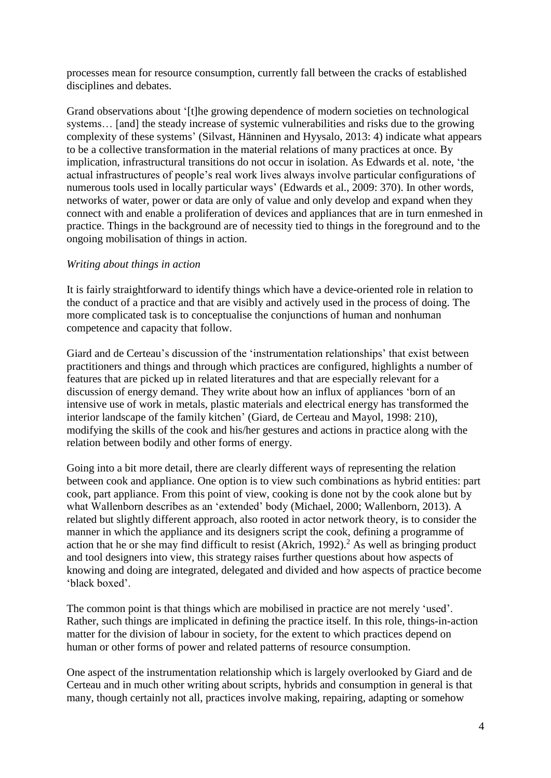processes mean for resource consumption, currently fall between the cracks of established disciplines and debates.

Grand observations about '[t]he growing dependence of modern societies on technological systems… [and] the steady increase of systemic vulnerabilities and risks due to the growing complexity of these systems' (Silvast, Hänninen and Hyysalo, 2013: 4) indicate what appears to be a collective transformation in the material relations of many practices at once. By implication, infrastructural transitions do not occur in isolation. As Edwards et al. note, 'the actual infrastructures of people's real work lives always involve particular configurations of numerous tools used in locally particular ways' (Edwards et al., 2009: 370). In other words, networks of water, power or data are only of value and only develop and expand when they connect with and enable a proliferation of devices and appliances that are in turn enmeshed in practice. Things in the background are of necessity tied to things in the foreground and to the ongoing mobilisation of things in action.

## *Writing about things in action*

It is fairly straightforward to identify things which have a device-oriented role in relation to the conduct of a practice and that are visibly and actively used in the process of doing. The more complicated task is to conceptualise the conjunctions of human and nonhuman competence and capacity that follow.

Giard and de Certeau's discussion of the 'instrumentation relationships' that exist between practitioners and things and through which practices are configured, highlights a number of features that are picked up in related literatures and that are especially relevant for a discussion of energy demand. They write about how an influx of appliances 'born of an intensive use of work in metals, plastic materials and electrical energy has transformed the interior landscape of the family kitchen' (Giard, de Certeau and Mayol, 1998: 210), modifying the skills of the cook and his/her gestures and actions in practice along with the relation between bodily and other forms of energy.

Going into a bit more detail, there are clearly different ways of representing the relation between cook and appliance. One option is to view such combinations as hybrid entities: part cook, part appliance. From this point of view, cooking is done not by the cook alone but by what Wallenborn describes as an 'extended' body (Michael, 2000; Wallenborn, 2013). A related but slightly different approach, also rooted in actor network theory, is to consider the manner in which the appliance and its designers script the cook, defining a programme of action that he or she may find difficult to resist (Akrich, 1992). <sup>2</sup> As well as bringing product and tool designers into view, this strategy raises further questions about how aspects of knowing and doing are integrated, delegated and divided and how aspects of practice become 'black boxed'.

The common point is that things which are mobilised in practice are not merely 'used'. Rather, such things are implicated in defining the practice itself. In this role, things-in-action matter for the division of labour in society, for the extent to which practices depend on human or other forms of power and related patterns of resource consumption.

One aspect of the instrumentation relationship which is largely overlooked by Giard and de Certeau and in much other writing about scripts, hybrids and consumption in general is that many, though certainly not all, practices involve making, repairing, adapting or somehow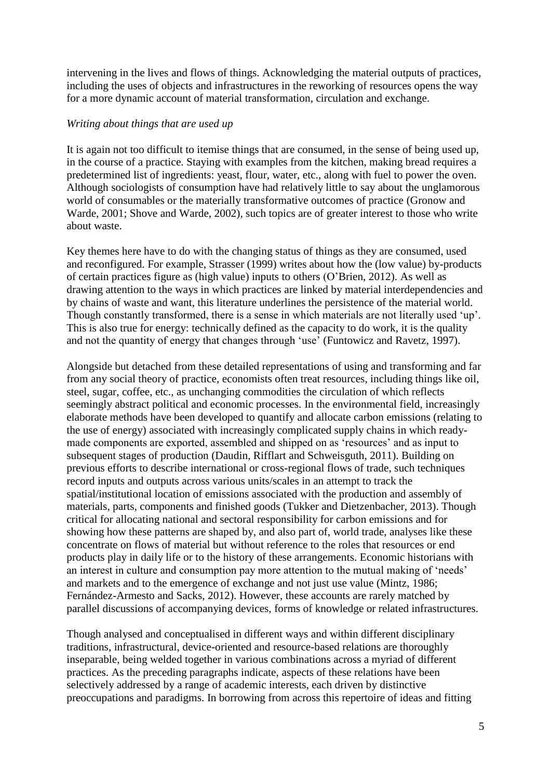intervening in the lives and flows of things. Acknowledging the material outputs of practices, including the uses of objects and infrastructures in the reworking of resources opens the way for a more dynamic account of material transformation, circulation and exchange.

#### *Writing about things that are used up*

It is again not too difficult to itemise things that are consumed, in the sense of being used up, in the course of a practice. Staying with examples from the kitchen, making bread requires a predetermined list of ingredients: yeast, flour, water, etc., along with fuel to power the oven. Although sociologists of consumption have had relatively little to say about the unglamorous world of consumables or the materially transformative outcomes of practice (Gronow and Warde, 2001; Shove and Warde, 2002), such topics are of greater interest to those who write about waste.

Key themes here have to do with the changing status of things as they are consumed, used and reconfigured. For example, Strasser (1999) writes about how the (low value) by-products of certain practices figure as (high value) inputs to others (O'Brien, 2012). As well as drawing attention to the ways in which practices are linked by material interdependencies and by chains of waste and want, this literature underlines the persistence of the material world. Though constantly transformed, there is a sense in which materials are not literally used 'up'. This is also true for energy: technically defined as the capacity to do work, it is the quality and not the quantity of energy that changes through 'use' (Funtowicz and Ravetz, 1997).

Alongside but detached from these detailed representations of using and transforming and far from any social theory of practice, economists often treat resources, including things like oil, steel, sugar, coffee, etc., as unchanging commodities the circulation of which reflects seemingly abstract political and economic processes. In the environmental field, increasingly elaborate methods have been developed to quantify and allocate carbon emissions (relating to the use of energy) associated with increasingly complicated supply chains in which readymade components are exported, assembled and shipped on as 'resources' and as input to subsequent stages of production (Daudin, Rifflart and Schweisguth, 2011). Building on previous efforts to describe international or cross-regional flows of trade, such techniques record inputs and outputs across various units/scales in an attempt to track the spatial/institutional location of emissions associated with the production and assembly of materials, parts, components and finished goods (Tukker and Dietzenbacher, 2013). Though critical for allocating national and sectoral responsibility for carbon emissions and for showing how these patterns are shaped by, and also part of, world trade, analyses like these concentrate on flows of material but without reference to the roles that resources or end products play in daily life or to the history of these arrangements. Economic historians with an interest in culture and consumption pay more attention to the mutual making of 'needs' and markets and to the emergence of exchange and not just use value (Mintz, 1986; Fernández-Armesto and Sacks, 2012). However, these accounts are rarely matched by parallel discussions of accompanying devices, forms of knowledge or related infrastructures.

Though analysed and conceptualised in different ways and within different disciplinary traditions, infrastructural, device-oriented and resource-based relations are thoroughly inseparable, being welded together in various combinations across a myriad of different practices. As the preceding paragraphs indicate, aspects of these relations have been selectively addressed by a range of academic interests, each driven by distinctive preoccupations and paradigms. In borrowing from across this repertoire of ideas and fitting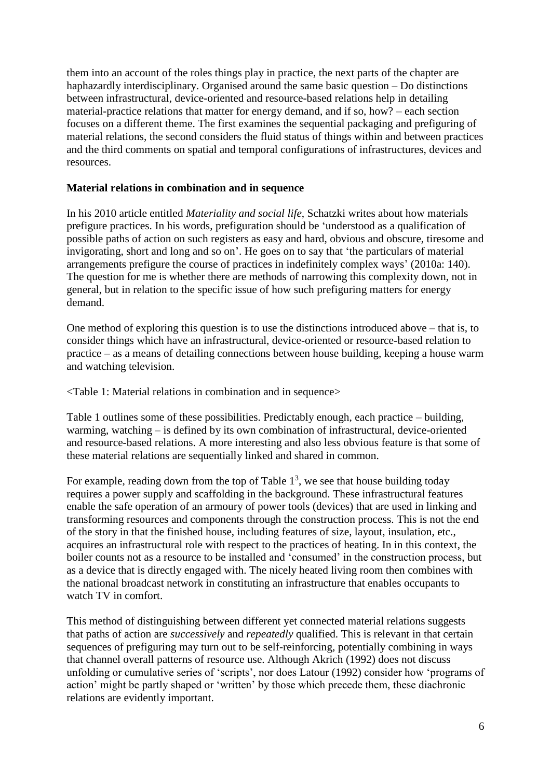them into an account of the roles things play in practice, the next parts of the chapter are haphazardly interdisciplinary. Organised around the same basic question – Do distinctions between infrastructural, device-oriented and resource-based relations help in detailing material-practice relations that matter for energy demand, and if so, how? – each section focuses on a different theme. The first examines the sequential packaging and prefiguring of material relations, the second considers the fluid status of things within and between practices and the third comments on spatial and temporal configurations of infrastructures, devices and resources.

## **Material relations in combination and in sequence**

In his 2010 article entitled *Materiality and social life*, Schatzki writes about how materials prefigure practices. In his words, prefiguration should be 'understood as a qualification of possible paths of action on such registers as easy and hard, obvious and obscure, tiresome and invigorating, short and long and so on'. He goes on to say that 'the particulars of material arrangements prefigure the course of practices in indefinitely complex ways' (2010a: 140). The question for me is whether there are methods of narrowing this complexity down, not in general, but in relation to the specific issue of how such prefiguring matters for energy demand.

One method of exploring this question is to use the distinctions introduced above – that is, to consider things which have an infrastructural, device-oriented or resource-based relation to practice – as a means of detailing connections between house building, keeping a house warm and watching television.

<Table 1: Material relations in combination and in sequence>

Table 1 outlines some of these possibilities. Predictably enough, each practice – building, warming, watching – is defined by its own combination of infrastructural, device-oriented and resource-based relations. A more interesting and also less obvious feature is that some of these material relations are sequentially linked and shared in common.

For example, reading down from the top of Table  $1<sup>3</sup>$ , we see that house building today requires a power supply and scaffolding in the background. These infrastructural features enable the safe operation of an armoury of power tools (devices) that are used in linking and transforming resources and components through the construction process. This is not the end of the story in that the finished house, including features of size, layout, insulation, etc., acquires an infrastructural role with respect to the practices of heating. In in this context, the boiler counts not as a resource to be installed and 'consumed' in the construction process, but as a device that is directly engaged with. The nicely heated living room then combines with the national broadcast network in constituting an infrastructure that enables occupants to watch TV in comfort.

This method of distinguishing between different yet connected material relations suggests that paths of action are *successively* and *repeatedly* qualified. This is relevant in that certain sequences of prefiguring may turn out to be self-reinforcing, potentially combining in ways that channel overall patterns of resource use. Although Akrich (1992) does not discuss unfolding or cumulative series of 'scripts', nor does Latour (1992) consider how 'programs of action' might be partly shaped or 'written' by those which precede them, these diachronic relations are evidently important.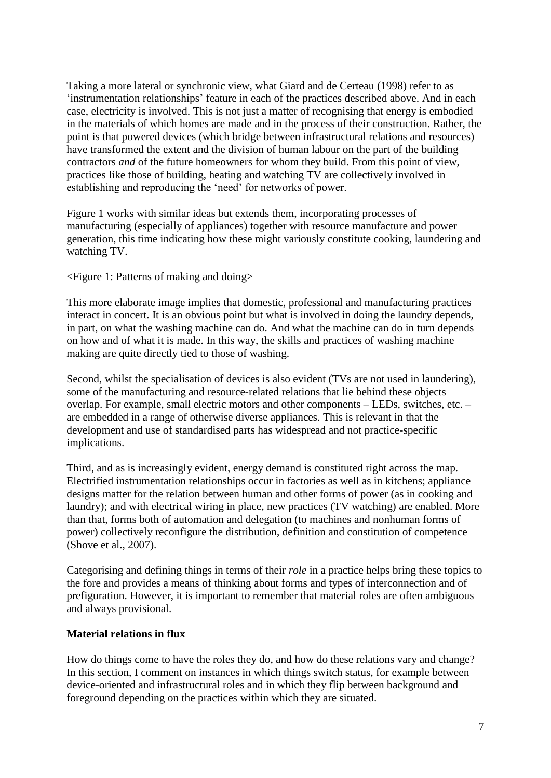Taking a more lateral or synchronic view, what Giard and de Certeau (1998) refer to as 'instrumentation relationships' feature in each of the practices described above. And in each case, electricity is involved. This is not just a matter of recognising that energy is embodied in the materials of which homes are made and in the process of their construction. Rather, the point is that powered devices (which bridge between infrastructural relations and resources) have transformed the extent and the division of human labour on the part of the building contractors *and* of the future homeowners for whom they build. From this point of view, practices like those of building, heating and watching TV are collectively involved in establishing and reproducing the 'need' for networks of power.

Figure 1 works with similar ideas but extends them, incorporating processes of manufacturing (especially of appliances) together with resource manufacture and power generation, this time indicating how these might variously constitute cooking, laundering and watching TV.

<Figure 1: Patterns of making and doing>

This more elaborate image implies that domestic, professional and manufacturing practices interact in concert. It is an obvious point but what is involved in doing the laundry depends, in part, on what the washing machine can do. And what the machine can do in turn depends on how and of what it is made. In this way, the skills and practices of washing machine making are quite directly tied to those of washing.

Second, whilst the specialisation of devices is also evident (TVs are not used in laundering), some of the manufacturing and resource-related relations that lie behind these objects overlap. For example, small electric motors and other components – LEDs, switches, etc. – are embedded in a range of otherwise diverse appliances. This is relevant in that the development and use of standardised parts has widespread and not practice-specific implications.

Third, and as is increasingly evident, energy demand is constituted right across the map. Electrified instrumentation relationships occur in factories as well as in kitchens; appliance designs matter for the relation between human and other forms of power (as in cooking and laundry); and with electrical wiring in place, new practices (TV watching) are enabled. More than that, forms both of automation and delegation (to machines and nonhuman forms of power) collectively reconfigure the distribution, definition and constitution of competence (Shove et al., 2007).

Categorising and defining things in terms of their *role* in a practice helps bring these topics to the fore and provides a means of thinking about forms and types of interconnection and of prefiguration. However, it is important to remember that material roles are often ambiguous and always provisional.

# **Material relations in flux**

How do things come to have the roles they do, and how do these relations vary and change? In this section, I comment on instances in which things switch status, for example between device-oriented and infrastructural roles and in which they flip between background and foreground depending on the practices within which they are situated.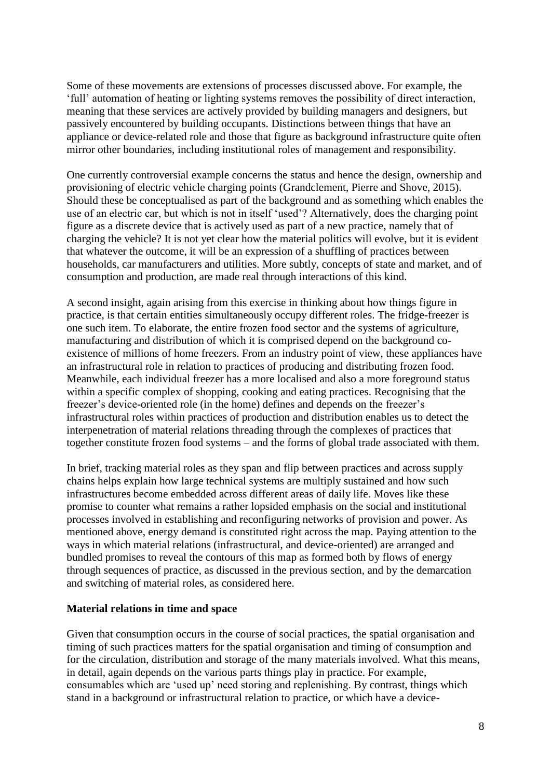Some of these movements are extensions of processes discussed above. For example, the 'full' automation of heating or lighting systems removes the possibility of direct interaction, meaning that these services are actively provided by building managers and designers, but passively encountered by building occupants. Distinctions between things that have an appliance or device-related role and those that figure as background infrastructure quite often mirror other boundaries, including institutional roles of management and responsibility.

One currently controversial example concerns the status and hence the design, ownership and provisioning of electric vehicle charging points (Grandclement, Pierre and Shove, 2015). Should these be conceptualised as part of the background and as something which enables the use of an electric car, but which is not in itself 'used'? Alternatively, does the charging point figure as a discrete device that is actively used as part of a new practice, namely that of charging the vehicle? It is not yet clear how the material politics will evolve, but it is evident that whatever the outcome, it will be an expression of a shuffling of practices between households, car manufacturers and utilities. More subtly, concepts of state and market, and of consumption and production, are made real through interactions of this kind.

A second insight, again arising from this exercise in thinking about how things figure in practice, is that certain entities simultaneously occupy different roles. The fridge-freezer is one such item. To elaborate, the entire frozen food sector and the systems of agriculture, manufacturing and distribution of which it is comprised depend on the background coexistence of millions of home freezers. From an industry point of view, these appliances have an infrastructural role in relation to practices of producing and distributing frozen food. Meanwhile, each individual freezer has a more localised and also a more foreground status within a specific complex of shopping, cooking and eating practices. Recognising that the freezer's device-oriented role (in the home) defines and depends on the freezer's infrastructural roles within practices of production and distribution enables us to detect the interpenetration of material relations threading through the complexes of practices that together constitute frozen food systems – and the forms of global trade associated with them.

In brief, tracking material roles as they span and flip between practices and across supply chains helps explain how large technical systems are multiply sustained and how such infrastructures become embedded across different areas of daily life. Moves like these promise to counter what remains a rather lopsided emphasis on the social and institutional processes involved in establishing and reconfiguring networks of provision and power. As mentioned above, energy demand is constituted right across the map. Paying attention to the ways in which material relations (infrastructural, and device-oriented) are arranged and bundled promises to reveal the contours of this map as formed both by flows of energy through sequences of practice, as discussed in the previous section, and by the demarcation and switching of material roles, as considered here.

### **Material relations in time and space**

Given that consumption occurs in the course of social practices, the spatial organisation and timing of such practices matters for the spatial organisation and timing of consumption and for the circulation, distribution and storage of the many materials involved. What this means, in detail, again depends on the various parts things play in practice. For example, consumables which are 'used up' need storing and replenishing. By contrast, things which stand in a background or infrastructural relation to practice, or which have a device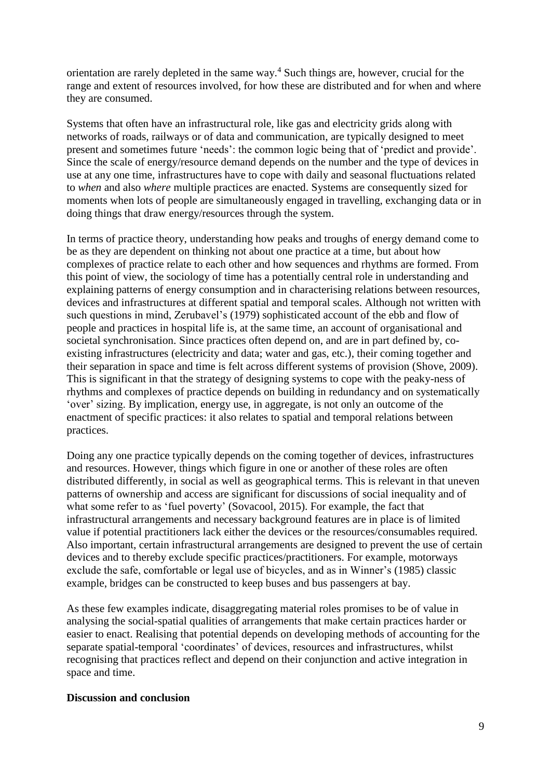orientation are rarely depleted in the same way.<sup>4</sup> Such things are, however, crucial for the range and extent of resources involved, for how these are distributed and for when and where they are consumed.

Systems that often have an infrastructural role, like gas and electricity grids along with networks of roads, railways or of data and communication, are typically designed to meet present and sometimes future 'needs': the common logic being that of 'predict and provide'. Since the scale of energy/resource demand depends on the number and the type of devices in use at any one time, infrastructures have to cope with daily and seasonal fluctuations related to *when* and also *where* multiple practices are enacted. Systems are consequently sized for moments when lots of people are simultaneously engaged in travelling, exchanging data or in doing things that draw energy/resources through the system.

In terms of practice theory, understanding how peaks and troughs of energy demand come to be as they are dependent on thinking not about one practice at a time, but about how complexes of practice relate to each other and how sequences and rhythms are formed. From this point of view, the sociology of time has a potentially central role in understanding and explaining patterns of energy consumption and in characterising relations between resources, devices and infrastructures at different spatial and temporal scales. Although not written with such questions in mind, Zerubavel's (1979) sophisticated account of the ebb and flow of people and practices in hospital life is, at the same time, an account of organisational and societal synchronisation. Since practices often depend on, and are in part defined by, coexisting infrastructures (electricity and data; water and gas, etc.), their coming together and their separation in space and time is felt across different systems of provision (Shove, 2009). This is significant in that the strategy of designing systems to cope with the peaky-ness of rhythms and complexes of practice depends on building in redundancy and on systematically 'over' sizing. By implication, energy use, in aggregate, is not only an outcome of the enactment of specific practices: it also relates to spatial and temporal relations between practices.

Doing any one practice typically depends on the coming together of devices, infrastructures and resources. However, things which figure in one or another of these roles are often distributed differently, in social as well as geographical terms. This is relevant in that uneven patterns of ownership and access are significant for discussions of social inequality and of what some refer to as 'fuel poverty' (Sovacool, 2015). For example, the fact that infrastructural arrangements and necessary background features are in place is of limited value if potential practitioners lack either the devices or the resources/consumables required. Also important, certain infrastructural arrangements are designed to prevent the use of certain devices and to thereby exclude specific practices/practitioners. For example, motorways exclude the safe, comfortable or legal use of bicycles, and as in Winner's (1985) classic example, bridges can be constructed to keep buses and bus passengers at bay.

As these few examples indicate, disaggregating material roles promises to be of value in analysing the social-spatial qualities of arrangements that make certain practices harder or easier to enact. Realising that potential depends on developing methods of accounting for the separate spatial-temporal 'coordinates' of devices, resources and infrastructures, whilst recognising that practices reflect and depend on their conjunction and active integration in space and time.

### **Discussion and conclusion**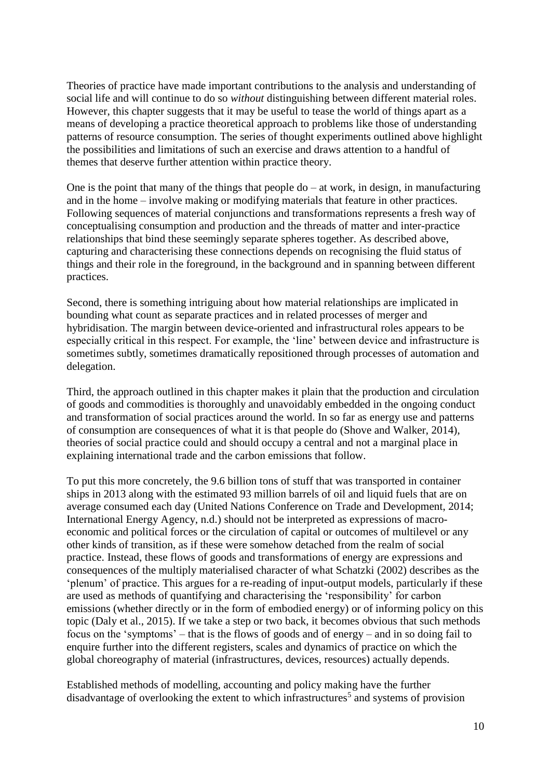Theories of practice have made important contributions to the analysis and understanding of social life and will continue to do so *without* distinguishing between different material roles. However, this chapter suggests that it may be useful to tease the world of things apart as a means of developing a practice theoretical approach to problems like those of understanding patterns of resource consumption. The series of thought experiments outlined above highlight the possibilities and limitations of such an exercise and draws attention to a handful of themes that deserve further attention within practice theory.

One is the point that many of the things that people  $d\rho - d$  work, in design, in manufacturing and in the home – involve making or modifying materials that feature in other practices. Following sequences of material conjunctions and transformations represents a fresh way of conceptualising consumption and production and the threads of matter and inter-practice relationships that bind these seemingly separate spheres together. As described above, capturing and characterising these connections depends on recognising the fluid status of things and their role in the foreground, in the background and in spanning between different practices.

Second, there is something intriguing about how material relationships are implicated in bounding what count as separate practices and in related processes of merger and hybridisation. The margin between device-oriented and infrastructural roles appears to be especially critical in this respect. For example, the 'line' between device and infrastructure is sometimes subtly, sometimes dramatically repositioned through processes of automation and delegation.

Third, the approach outlined in this chapter makes it plain that the production and circulation of goods and commodities is thoroughly and unavoidably embedded in the ongoing conduct and transformation of social practices around the world. In so far as energy use and patterns of consumption are consequences of what it is that people do (Shove and Walker, 2014), theories of social practice could and should occupy a central and not a marginal place in explaining international trade and the carbon emissions that follow.

To put this more concretely, the 9.6 billion tons of stuff that was transported in container ships in 2013 along with the estimated 93 million barrels of oil and liquid fuels that are on average consumed each day (United Nations Conference on Trade and Development, 2014; International Energy Agency, n.d.) should not be interpreted as expressions of macroeconomic and political forces or the circulation of capital or outcomes of multilevel or any other kinds of transition, as if these were somehow detached from the realm of social practice. Instead, these flows of goods and transformations of energy are expressions and consequences of the multiply materialised character of what Schatzki (2002) describes as the 'plenum' of practice. This argues for a re-reading of input-output models, particularly if these are used as methods of quantifying and characterising the 'responsibility' for carbon emissions (whether directly or in the form of embodied energy) or of informing policy on this topic (Daly et al., 2015). If we take a step or two back, it becomes obvious that such methods focus on the 'symptoms' – that is the flows of goods and of energy – and in so doing fail to enquire further into the different registers, scales and dynamics of practice on which the global choreography of material (infrastructures, devices, resources) actually depends.

Established methods of modelling, accounting and policy making have the further disadvantage of overlooking the extent to which infrastructures<sup>5</sup> and systems of provision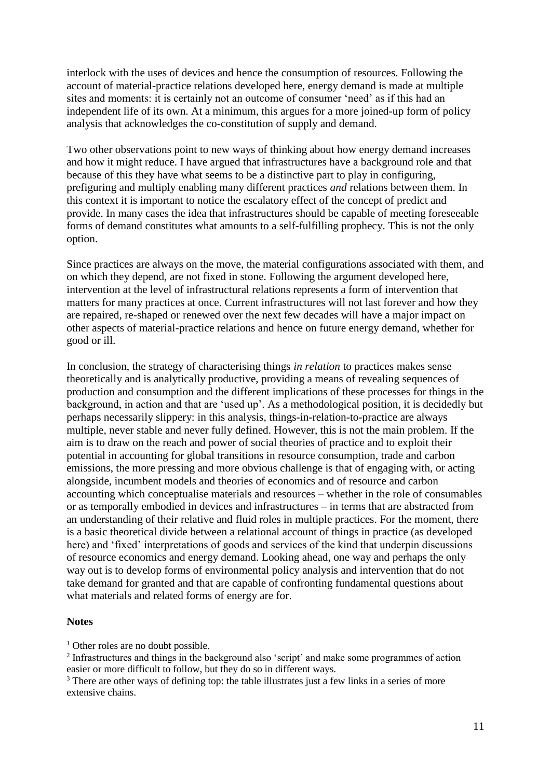interlock with the uses of devices and hence the consumption of resources. Following the account of material-practice relations developed here, energy demand is made at multiple sites and moments: it is certainly not an outcome of consumer 'need' as if this had an independent life of its own. At a minimum, this argues for a more joined-up form of policy analysis that acknowledges the co-constitution of supply and demand.

Two other observations point to new ways of thinking about how energy demand increases and how it might reduce. I have argued that infrastructures have a background role and that because of this they have what seems to be a distinctive part to play in configuring, prefiguring and multiply enabling many different practices *and* relations between them. In this context it is important to notice the escalatory effect of the concept of predict and provide. In many cases the idea that infrastructures should be capable of meeting foreseeable forms of demand constitutes what amounts to a self-fulfilling prophecy. This is not the only option.

Since practices are always on the move, the material configurations associated with them, and on which they depend, are not fixed in stone. Following the argument developed here, intervention at the level of infrastructural relations represents a form of intervention that matters for many practices at once. Current infrastructures will not last forever and how they are repaired, re-shaped or renewed over the next few decades will have a major impact on other aspects of material-practice relations and hence on future energy demand, whether for good or ill.

In conclusion, the strategy of characterising things *in relation* to practices makes sense theoretically and is analytically productive, providing a means of revealing sequences of production and consumption and the different implications of these processes for things in the background, in action and that are 'used up'. As a methodological position, it is decidedly but perhaps necessarily slippery: in this analysis, things-in-relation-to-practice are always multiple, never stable and never fully defined. However, this is not the main problem. If the aim is to draw on the reach and power of social theories of practice and to exploit their potential in accounting for global transitions in resource consumption, trade and carbon emissions, the more pressing and more obvious challenge is that of engaging with, or acting alongside, incumbent models and theories of economics and of resource and carbon accounting which conceptualise materials and resources – whether in the role of consumables or as temporally embodied in devices and infrastructures – in terms that are abstracted from an understanding of their relative and fluid roles in multiple practices. For the moment, there is a basic theoretical divide between a relational account of things in practice (as developed here) and 'fixed' interpretations of goods and services of the kind that underpin discussions of resource economics and energy demand. Looking ahead, one way and perhaps the only way out is to develop forms of environmental policy analysis and intervention that do not take demand for granted and that are capable of confronting fundamental questions about what materials and related forms of energy are for.

#### **Notes**

<sup>1</sup> Other roles are no doubt possible.

<sup>2</sup> Infrastructures and things in the background also 'script' and make some programmes of action easier or more difficult to follow, but they do so in different ways.

<sup>3</sup> There are other ways of defining top: the table illustrates just a few links in a series of more extensive chains.